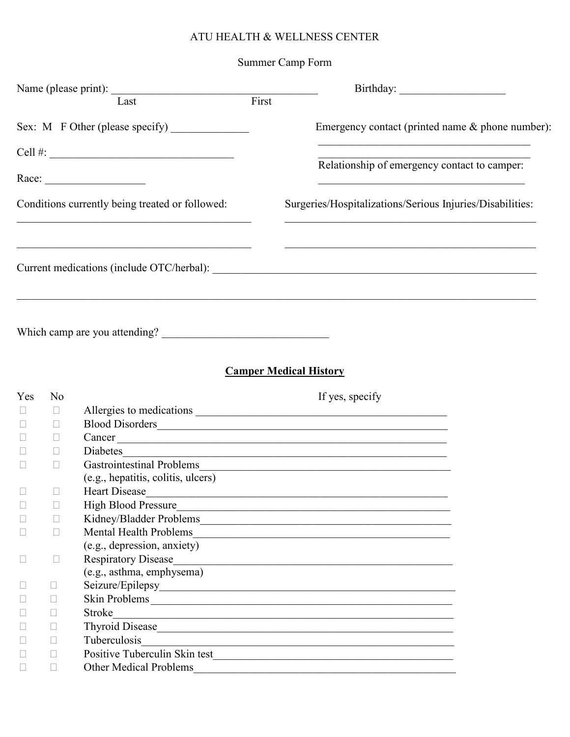## ATU HEALTH & WELLNESS CENTER

## Summer Camp Form

|               |              | Name (please print): Tast First                                                                                                              |                                                                                                                                                                                                                                |
|---------------|--------------|----------------------------------------------------------------------------------------------------------------------------------------------|--------------------------------------------------------------------------------------------------------------------------------------------------------------------------------------------------------------------------------|
|               |              |                                                                                                                                              | Emergency contact (printed name & phone number):                                                                                                                                                                               |
|               |              | Cell #: $\qquad \qquad$                                                                                                                      | the control of the control of the control of the control of the control of the control of                                                                                                                                      |
|               |              |                                                                                                                                              | Relationship of emergency contact to camper:                                                                                                                                                                                   |
|               |              |                                                                                                                                              | <u> 1989 - Johann John Barn, mars eta inperiodoren eta inperiodoren eta inperiodoren erroman erroman erroman err</u>                                                                                                           |
|               |              | Conditions currently being treated or followed:<br>the control of the control of the control of the control of the control of the control of | Surgeries/Hospitalizations/Serious Injuries/Disabilities:<br><u> 1989 - Andrea Stadt Britain, amerikansk politiker (d. 1989)</u>                                                                                               |
|               |              |                                                                                                                                              |                                                                                                                                                                                                                                |
|               |              |                                                                                                                                              | <b>Camper Medical History</b>                                                                                                                                                                                                  |
|               |              |                                                                                                                                              |                                                                                                                                                                                                                                |
| Yes<br>$\Box$ | No<br>$\Box$ |                                                                                                                                              | If yes, specify                                                                                                                                                                                                                |
| $\Box$        | $\Box$       |                                                                                                                                              | Allergies to medications                                                                                                                                                                                                       |
| $\Box$        | $\Box$       |                                                                                                                                              |                                                                                                                                                                                                                                |
|               | $\Box$       | Diabetes                                                                                                                                     | Cancer                                                                                                                                                                                                                         |
| $\Box$        |              |                                                                                                                                              |                                                                                                                                                                                                                                |
|               |              | (e.g., hepatitis, colitis, ulcers)                                                                                                           |                                                                                                                                                                                                                                |
| П             | $\Box$       | <b>Heart Disease</b>                                                                                                                         |                                                                                                                                                                                                                                |
|               | П            | <b>High Blood Pressure</b>                                                                                                                   |                                                                                                                                                                                                                                |
| $\Box$        | П            |                                                                                                                                              | <u> 1986 - Johann Stoff, die Berger von Berger von Berger von Berger von Berger von Berger von Berger von Berger</u>                                                                                                           |
| П             | П            | <b>Mental Health Problems</b>                                                                                                                | <u> 1980 - Johann Stoff, die Berger von Berger von Berger von Berger von Berger von Berger von Berger von Berger</u>                                                                                                           |
|               |              | (e.g., depression, anxiety)                                                                                                                  |                                                                                                                                                                                                                                |
| $\Box$        | $\Box$       | <b>Respiratory Disease</b>                                                                                                                   |                                                                                                                                                                                                                                |
|               |              | (e.g., asthma, emphysema)                                                                                                                    |                                                                                                                                                                                                                                |
| ⊔             | $\Box$       |                                                                                                                                              |                                                                                                                                                                                                                                |
| $\Box$        | $\Box$       |                                                                                                                                              |                                                                                                                                                                                                                                |
| П             | $\Box$       | Stroke                                                                                                                                       | <u> 1989 - Johann Stoff, amerikansk politiker (d. 1989)</u>                                                                                                                                                                    |
| П             | $\Box$       |                                                                                                                                              | Thyroid Disease https://www.archive.com/www.archive.com/www.archive.com/www.archive.com/www.archive.com/www.archive.com/www.archive.com/www.archive.com/www.archive.com/www.archive.com/www.archive.com/www.archive.com/www.ar |
|               | $\Box$       | Tuberculosis                                                                                                                                 | <u> 1989 - Andrea Andrew Maria a San Andrew Maria a San A</u>                                                                                                                                                                  |
| П             | $\Box$       |                                                                                                                                              | Positive Tuberculin Skin test<br><u>Land Communication</u>                                                                                                                                                                     |
| $\Box$        | П            | <b>Other Medical Problems</b>                                                                                                                |                                                                                                                                                                                                                                |